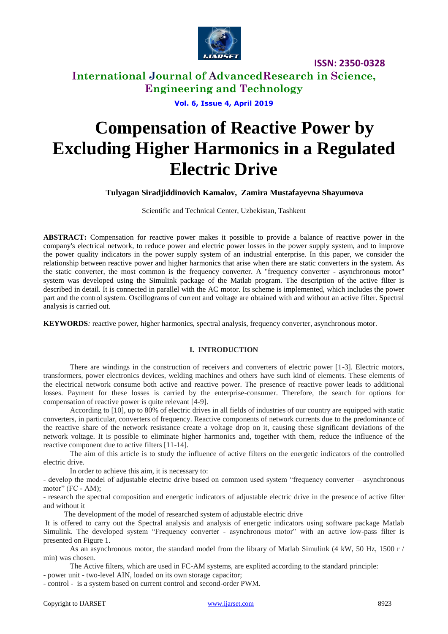

## **International Journal of AdvancedResearch in Science, Engineering and Technology**

**Vol. 6, Issue 4, April 2019**

# **Compensation of Reactive Power by Excluding Higher Harmonics in a Regulated Electric Drive**

## **Tulyagan Siradjiddinovich Kamalov, Zamira Mustafayevna Shayumova**

Scientific and Technical Center, Uzbekistan, Tashkent

**ABSTRACT:** Compensation for reactive power makes it possible to provide a balance of reactive power in the company's electrical network, to reduce power and electric power losses in the power supply system, and to improve the power quality indicators in the power supply system of an industrial enterprise. In this paper, we consider the relationship between reactive power and higher harmonics that arise when there are static converters in the system. As the static converter, the most common is the frequency converter. A "frequency converter - asynchronous motor" system was developed using the Simulink package of the Matlab program. The description of the active filter is described in detail. It is connected in parallel with the AC motor. Its scheme is implemented, which includes the power part and the control system. Oscillograms of current and voltage are obtained with and without an active filter. Spectral analysis is carried out.

**KEYWORDS***:* reactive power, higher harmonics, spectral analysis, frequency converter, asynchronous motor.

## **I. INTRODUCTION**

There are windings in the construction of receivers and converters of electric power [1-3]. Electric motors, transformers, power electronics devices, welding machines and others have such kind of elements. These elements of the electrical network consume both active and reactive power. The presence of reactive power leads to additional losses. Payment for these losses is carried by the enterprise-consumer. Therefore, the search for options for compensation of reactive power is quite relevant [4-9].

According to [10], up to 80% of electric drives in all fields of industries of our country are equipped with static converters, in particular, converters of frequency. Reactive components of network currents due to the predominance of the reactive share of the network resistance create a voltage drop on it, causing these significant deviations of the network voltage. It is possible to eliminate higher harmonics and, together with them, reduce the influence of the reactive component due to active filters [11-14].

The aim of this article is to study the influence of active filters on the energetic indicators of the controlled electric drive.

In order to achieve this aim, it is necessary to:

- develop the model of adjustable electric drive based on common used system "frequency converter – asynchronous motor" (FC - AM);

- research the spectral composition and energetic indicators of adjustable electric drive in the presence of active filter and without it

The development of the model of researched system of adjustable electric drive

It is offered to carry out the Spectral analysis and analysis of energetic indicators using software package Matlab Simulink. The developed system "Frequency converter - asynchronous motor" with an active low-pass filter is presented on Figure 1.

As an asynchronous motor, the standard model from the library of Matlab Simulink (4 kW, 50 Hz, 1500 r / min) was chosen.

The Active filters, which are used in FC-AM systems, are explited according to the standard principle: - power unit - two-level AIN, loaded on its own storage capacitor;

- control - is a system based on current control and second-order PWM.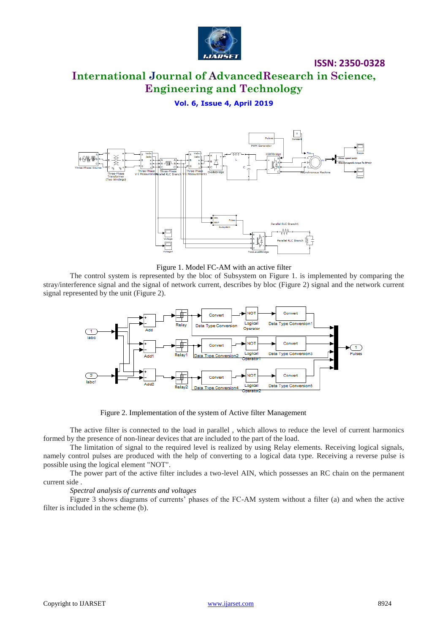

# **International Journal of AdvancedResearch in Science, Engineering and Technology**

## **Vol. 6, Issue 4, April 2019**



Figure 1. Model FC-AM with an active filter

The control system is represented by the bloc of Subsystem on Figure 1. is implemented by comparing the stray/interference signal and the signal of network current, describes by bloc (Figure 2) signal and the network current signal represented by the unit (Figure 2).



Figure 2. Implementation of the system of Active filter Management

The active filter is connected to the load in parallel , which allows to reduce the level of current harmonics formed by the presence of non-linear devices that are included to the part of the load.

The limitation of signal to the required level is realized by using Relay elements. Receiving logical signals, namely control pulses are produced with the help of converting to a logical data type. Receiving a reverse pulse is possible using the logical element "NOT".

The power part of the active filter includes a two-level AIN, which possesses an RC chain on the permanent current side .

#### *Spectral analysis of currents and voltages*

Figure 3 shows diagrams of currents' phases of the FC-AM system without a filter (a) and when the active filter is included in the scheme (b).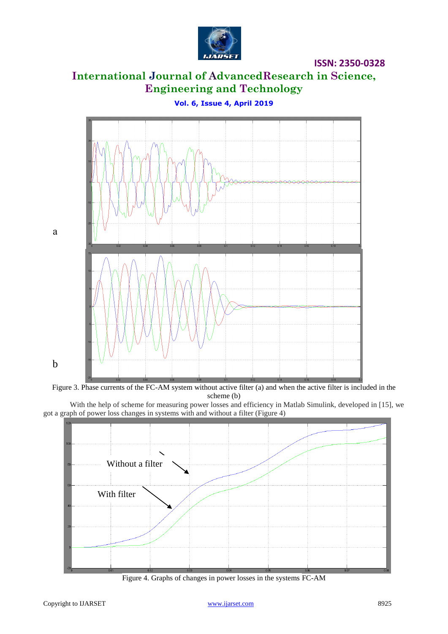

# **International Journal of AdvancedResearch in Science, Engineering and Technology**

а b

**Vol. 6, Issue 4, April 2019**



With the help of scheme for measuring power losses and efficiency in Matlab Simulink, developed in [15], we got a graph of power loss changes in systems with and without a filter (Figure 4)



Figure 4. Graphs of changes in power losses in the systems FC-AM